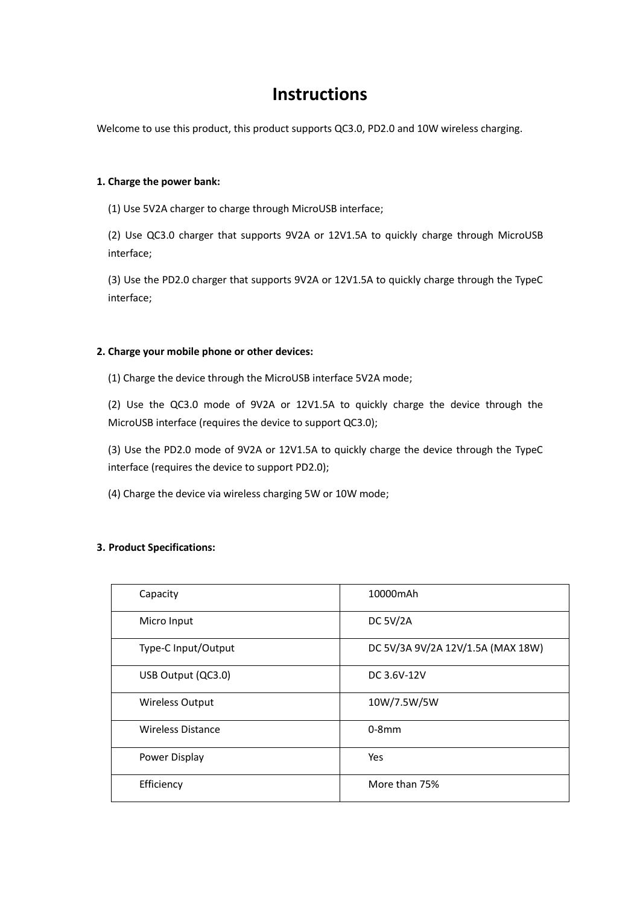# **Instructions**

Welcome to use this product, this product supports QC3.0, PD2.0 and 10W wireless charging.

#### **1. Charge the power bank:**

(1) Use 5V2A charger to charge through MicroUSB interface;

(2) Use QC3.0 charger that supports 9V2A or 12V1.5A to quickly charge through MicroUSB interface;

(3) Use the PD2.0 charger that supports 9V2A or 12V1.5A to quickly charge through the TypeC interface;

#### **2. Charge your mobile phone or other devices:**

(1) Charge the device through the MicroUSB interface 5V2A mode;

(2) Use the QC3.0 mode of 9V2A or 12V1.5A to quickly charge the device through the MicroUSB interface (requires the device to support QC3.0);

(3) Use the PD2.0 mode of 9V2A or 12V1.5A to quickly charge the device through the TypeC interface (requires the device to support PD2.0);

(4) Charge the device via wireless charging 5W or 10W mode;

## **3. Product Specifications:**

| Capacity               | 10000mAh                          |
|------------------------|-----------------------------------|
| Micro Input            | <b>DC 5V/2A</b>                   |
| Type-C Input/Output    | DC 5V/3A 9V/2A 12V/1.5A (MAX 18W) |
| USB Output (QC3.0)     | DC 3.6V-12V                       |
| <b>Wireless Output</b> | 10W/7.5W/5W                       |
| Wireless Distance      | $0-8$ mm                          |
| Power Display          | Yes                               |
| Efficiency             | More than 75%                     |